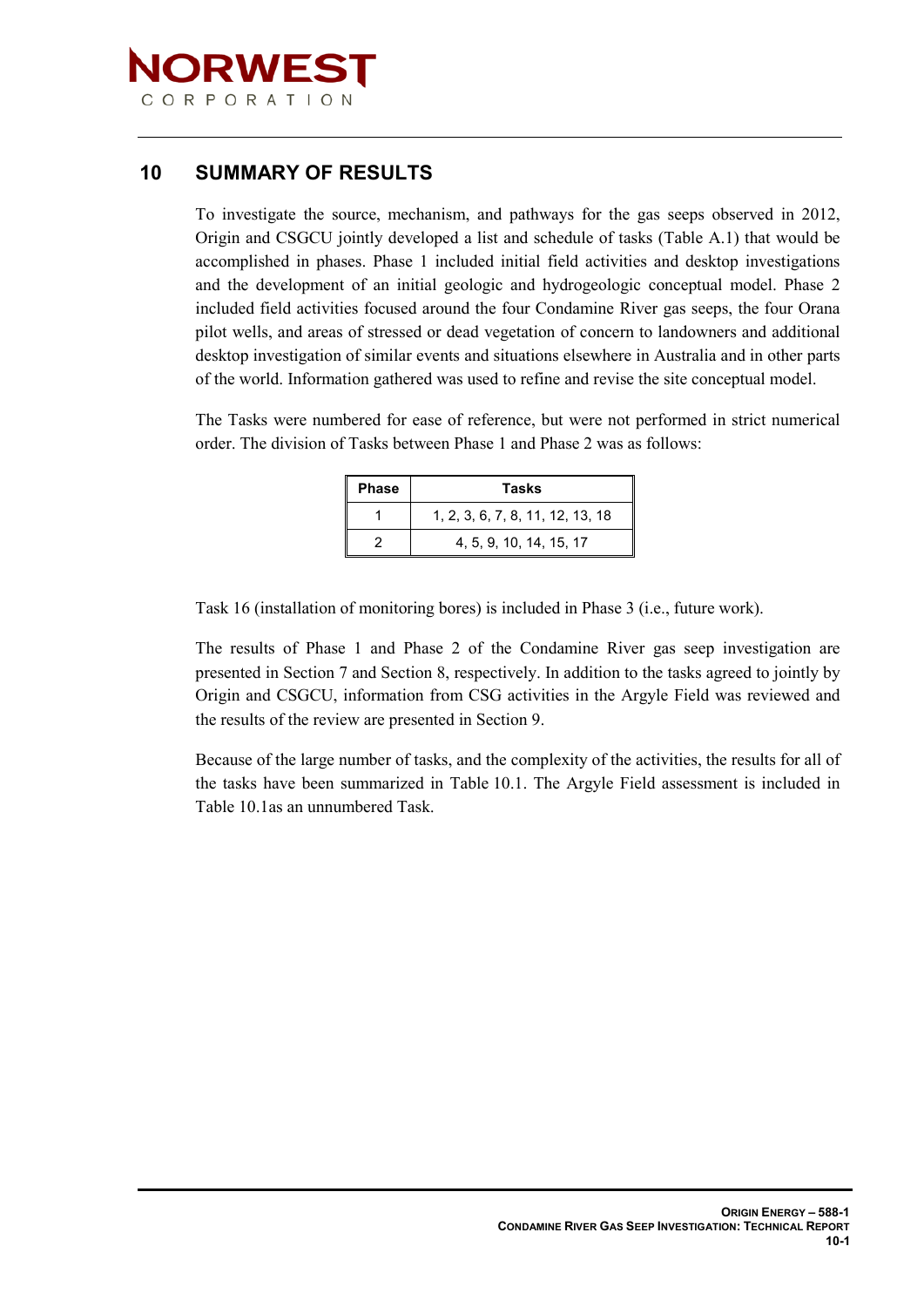

## **10 SUMMARY OF RESULTS**

To investigate the source, mechanism, and pathways for the gas seeps observed in 2012, Origin and CSGCU jointly developed a list and schedule of tasks (Table A.1) that would be accomplished in phases. Phase 1 included initial field activities and desktop investigations and the development of an initial geologic and hydrogeologic conceptual model. Phase 2 included field activities focused around the four Condamine River gas seeps, the four Orana pilot wells, and areas of stressed or dead vegetation of concern to landowners and additional desktop investigation of similar events and situations elsewhere in Australia and in other parts of the world. Information gathered was used to refine and revise the site conceptual model.

The Tasks were numbered for ease of reference, but were not performed in strict numerical order. The division of Tasks between Phase 1 and Phase 2 was as follows:

| <b>Phase</b> | <b>Tasks</b>                     |  |  |  |
|--------------|----------------------------------|--|--|--|
|              | 1, 2, 3, 6, 7, 8, 11, 12, 13, 18 |  |  |  |
|              | 4, 5, 9, 10, 14, 15, 17          |  |  |  |

Task 16 (installation of monitoring bores) is included in Phase 3 (i.e., future work).

The results of Phase 1 and Phase 2 of the Condamine River gas seep investigation are presented in Section 7 and Section 8, respectively. In addition to the tasks agreed to jointly by Origin and CSGCU, information from CSG activities in the Argyle Field was reviewed and the results of the review are presented in Section 9.

Because of the large number of tasks, and the complexity of the activities, the results for all of the tasks have been summarized in Table 10.1. The Argyle Field assessment is included in Table 10.1as an unnumbered Task.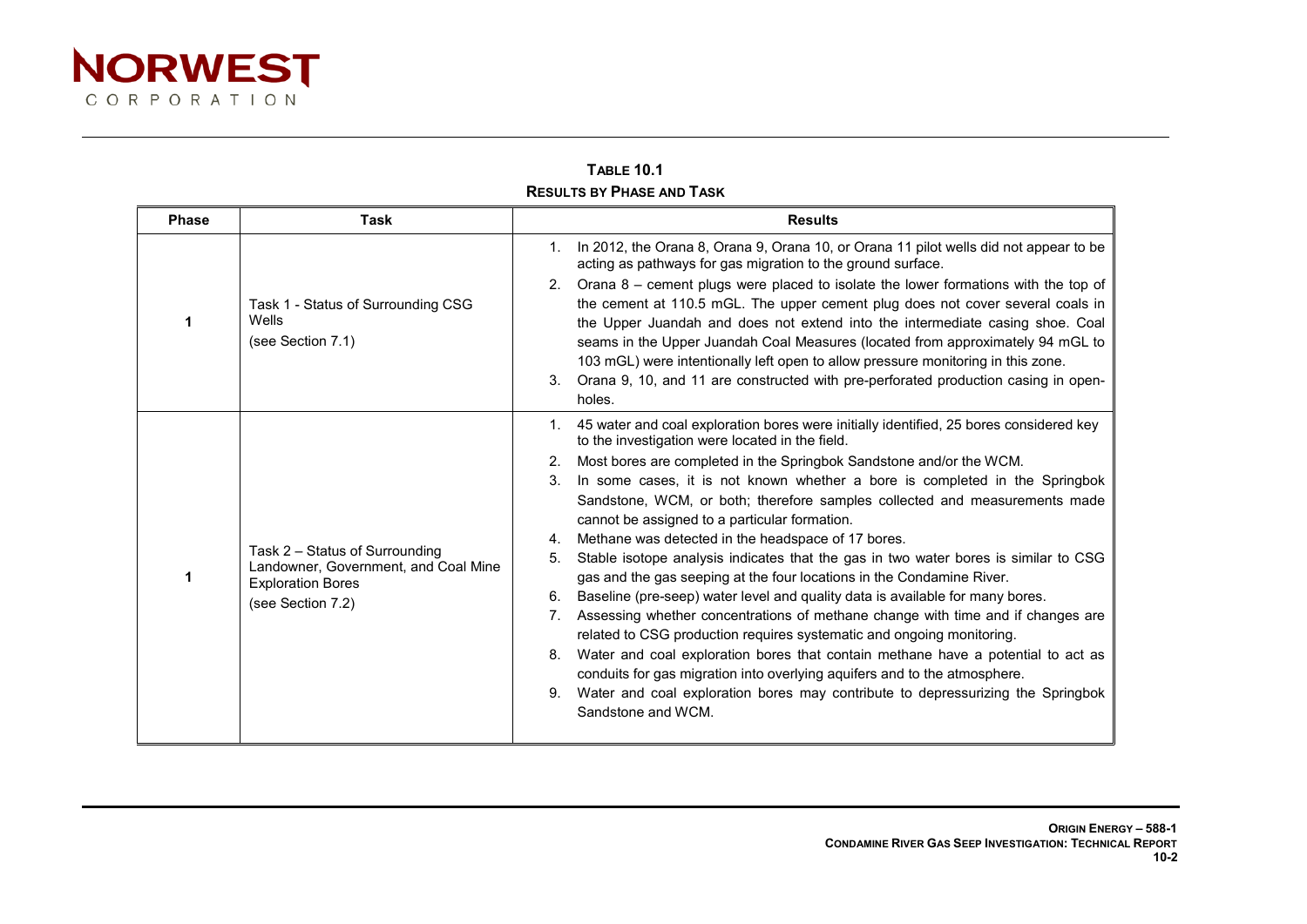

| <b>TABLE 10.1</b>                |  |
|----------------------------------|--|
| <b>RESULTS BY PHASE AND TASK</b> |  |

| <b>Phase</b> | <b>Task</b>                                                                                                             | <b>Results</b>                                                                                                                                                                                                                                                                                                                                                                                                                                                                                                                                                                                                                                                                                                                                                                                                    |  |  |
|--------------|-------------------------------------------------------------------------------------------------------------------------|-------------------------------------------------------------------------------------------------------------------------------------------------------------------------------------------------------------------------------------------------------------------------------------------------------------------------------------------------------------------------------------------------------------------------------------------------------------------------------------------------------------------------------------------------------------------------------------------------------------------------------------------------------------------------------------------------------------------------------------------------------------------------------------------------------------------|--|--|
|              |                                                                                                                         | 1. In 2012, the Orana 8, Orana 9, Orana 10, or Orana 11 pilot wells did not appear to be<br>acting as pathways for gas migration to the ground surface.                                                                                                                                                                                                                                                                                                                                                                                                                                                                                                                                                                                                                                                           |  |  |
|              | Task 1 - Status of Surrounding CSG<br>Wells<br>(see Section 7.1)                                                        | 2. Orana $8$ – cement plugs were placed to isolate the lower formations with the top of<br>the cement at 110.5 mGL. The upper cement plug does not cover several coals in<br>the Upper Juandah and does not extend into the intermediate casing shoe. Coal<br>seams in the Upper Juandah Coal Measures (located from approximately 94 mGL to<br>103 mGL) were intentionally left open to allow pressure monitoring in this zone.<br>Orana 9, 10, and 11 are constructed with pre-perforated production casing in open-<br>3.                                                                                                                                                                                                                                                                                      |  |  |
|              |                                                                                                                         | holes.<br>1. 45 water and coal exploration bores were initially identified, 25 bores considered key                                                                                                                                                                                                                                                                                                                                                                                                                                                                                                                                                                                                                                                                                                               |  |  |
|              | Task 2 - Status of Surrounding<br>Landowner, Government, and Coal Mine<br><b>Exploration Bores</b><br>(see Section 7.2) | to the investigation were located in the field.<br>Most bores are completed in the Springbok Sandstone and/or the WCM.<br>2.<br>In some cases, it is not known whether a bore is completed in the Springbok<br>3.<br>Sandstone, WCM, or both; therefore samples collected and measurements made                                                                                                                                                                                                                                                                                                                                                                                                                                                                                                                   |  |  |
|              |                                                                                                                         | cannot be assigned to a particular formation.<br>Methane was detected in the headspace of 17 bores.<br>4.<br>Stable isotope analysis indicates that the gas in two water bores is similar to CSG<br>5.<br>gas and the gas seeping at the four locations in the Condamine River.<br>Baseline (pre-seep) water level and quality data is available for many bores.<br>6.<br>Assessing whether concentrations of methane change with time and if changes are<br>$7_{\cdot}$<br>related to CSG production requires systematic and ongoing monitoring.<br>Water and coal exploration bores that contain methane have a potential to act as<br>8.<br>conduits for gas migration into overlying aquifers and to the atmosphere.<br>Water and coal exploration bores may contribute to depressurizing the Springbok<br>9. |  |  |
|              |                                                                                                                         | Sandstone and WCM.                                                                                                                                                                                                                                                                                                                                                                                                                                                                                                                                                                                                                                                                                                                                                                                                |  |  |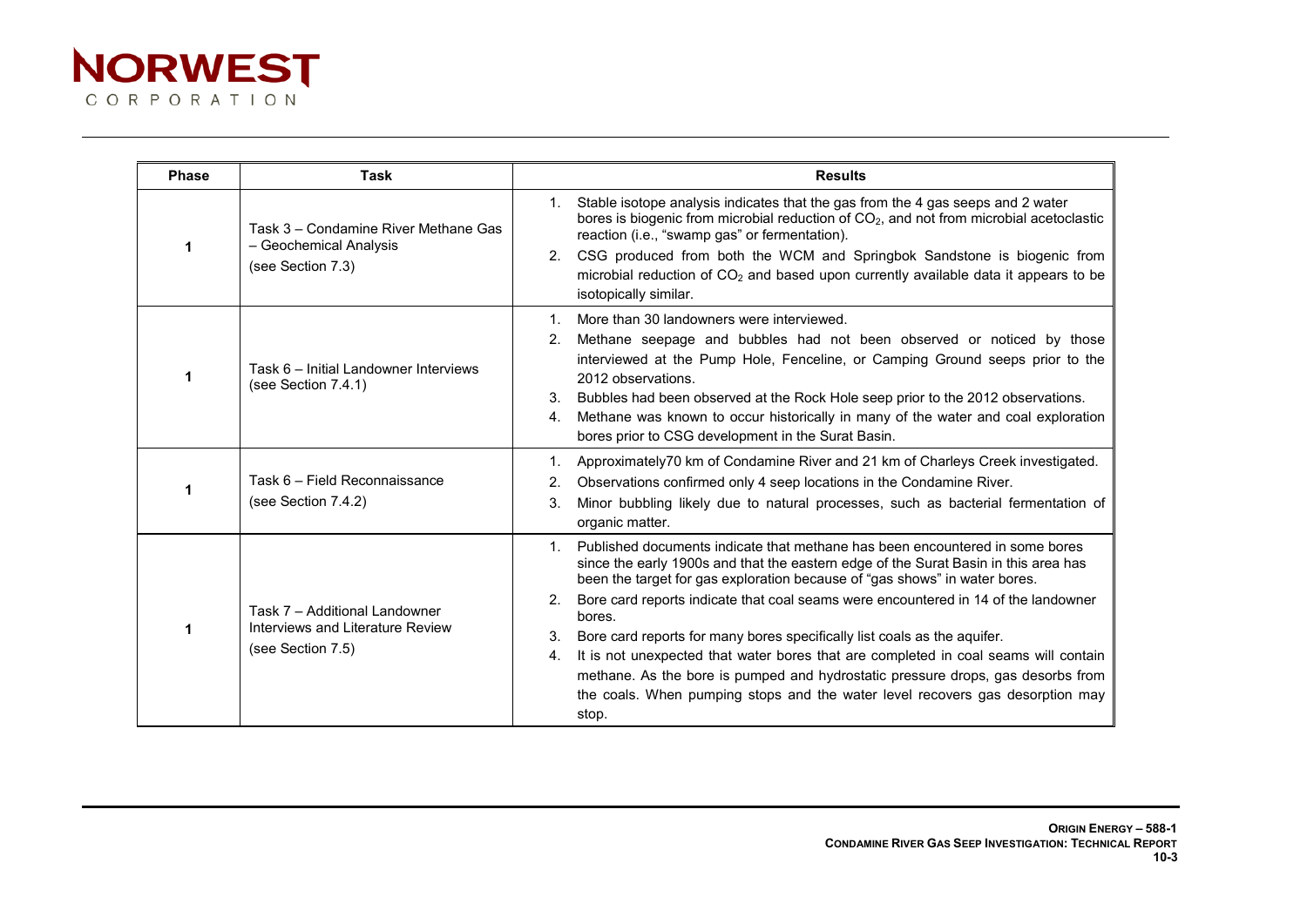

| <b>Phase</b> | Task                                                                                   | <b>Results</b>                                                                                                                                                                                                                                                                                                                                                                                                                                                                                                                                                                                                                                                                                                      |  |  |
|--------------|----------------------------------------------------------------------------------------|---------------------------------------------------------------------------------------------------------------------------------------------------------------------------------------------------------------------------------------------------------------------------------------------------------------------------------------------------------------------------------------------------------------------------------------------------------------------------------------------------------------------------------------------------------------------------------------------------------------------------------------------------------------------------------------------------------------------|--|--|
|              | Task 3 - Condamine River Methane Gas<br>- Geochemical Analysis<br>(see Section 7.3)    | Stable isotope analysis indicates that the gas from the 4 gas seeps and 2 water<br>1.<br>bores is biogenic from microbial reduction of CO <sub>2</sub> , and not from microbial acetoclastic<br>reaction (i.e., "swamp gas" or fermentation).<br>CSG produced from both the WCM and Springbok Sandstone is biogenic from<br>2.<br>microbial reduction of $CO2$ and based upon currently available data it appears to be<br>isotopically similar.                                                                                                                                                                                                                                                                    |  |  |
|              | Task 6 - Initial Landowner Interviews<br>(see Section $7.4.1$ )                        | More than 30 landowners were interviewed.<br>1.<br>Methane seepage and bubbles had not been observed or noticed by those<br>2 <sub>1</sub><br>interviewed at the Pump Hole, Fenceline, or Camping Ground seeps prior to the<br>2012 observations.<br>Bubbles had been observed at the Rock Hole seep prior to the 2012 observations.<br>3.<br>Methane was known to occur historically in many of the water and coal exploration<br>4.<br>bores prior to CSG development in the Surat Basin.                                                                                                                                                                                                                         |  |  |
|              | Task 6 - Field Reconnaissance<br>(see Section 7.4.2)                                   | Approximately70 km of Condamine River and 21 km of Charleys Creek investigated.<br>$1_{\cdot}$<br>Observations confirmed only 4 seep locations in the Condamine River.<br>2.<br>Minor bubbling likely due to natural processes, such as bacterial fermentation of<br>3.<br>organic matter.                                                                                                                                                                                                                                                                                                                                                                                                                          |  |  |
|              | Task 7 - Additional Landowner<br>Interviews and Literature Review<br>(see Section 7.5) | Published documents indicate that methane has been encountered in some bores<br>since the early 1900s and that the eastern edge of the Surat Basin in this area has<br>been the target for gas exploration because of "gas shows" in water bores.<br>Bore card reports indicate that coal seams were encountered in 14 of the landowner<br>2.<br>bores.<br>Bore card reports for many bores specifically list coals as the aquifer.<br>3.<br>It is not unexpected that water bores that are completed in coal seams will contain<br>4.<br>methane. As the bore is pumped and hydrostatic pressure drops, gas desorbs from<br>the coals. When pumping stops and the water level recovers gas desorption may<br>stop. |  |  |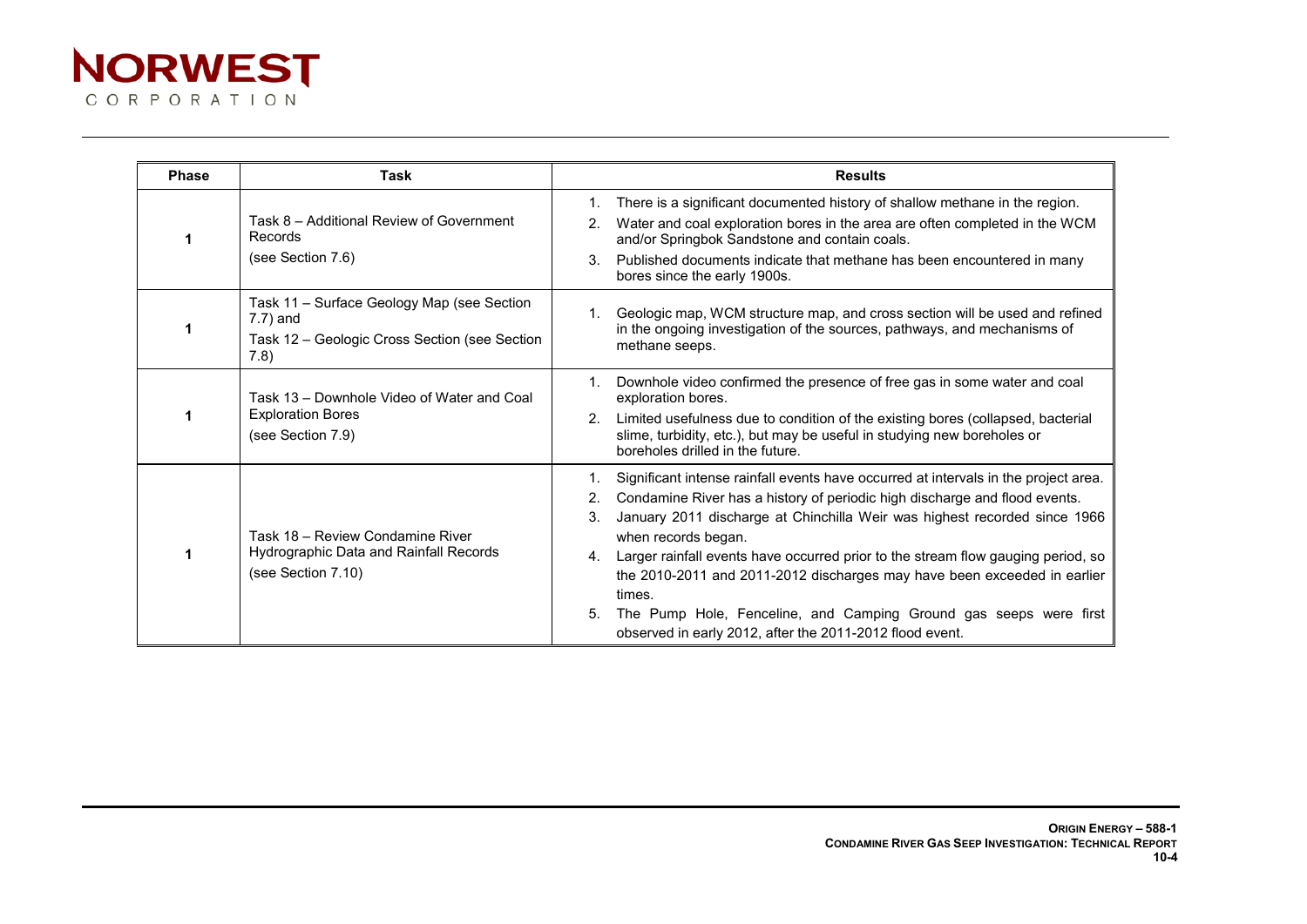

| <b>Phase</b> | Task                                                                                                               | <b>Results</b>                                                                                                                                                                                                                                                                                                                                                                                                                                                                                                                                                                                           |  |
|--------------|--------------------------------------------------------------------------------------------------------------------|----------------------------------------------------------------------------------------------------------------------------------------------------------------------------------------------------------------------------------------------------------------------------------------------------------------------------------------------------------------------------------------------------------------------------------------------------------------------------------------------------------------------------------------------------------------------------------------------------------|--|
|              | Task 8 - Additional Review of Government<br>Records<br>(see Section 7.6)                                           | There is a significant documented history of shallow methane in the region.<br>$\mathbf{1}$ .<br>Water and coal exploration bores in the area are often completed in the WCM<br>2.<br>and/or Springbok Sandstone and contain coals.<br>Published documents indicate that methane has been encountered in many<br>3 <sub>1</sub><br>bores since the early 1900s.                                                                                                                                                                                                                                          |  |
|              | Task 11 - Surface Geology Map (see Section<br>$7.7$ ) and<br>Task 12 – Geologic Cross Section (see Section<br>7.8) | Geologic map, WCM structure map, and cross section will be used and refined<br>$1_{\cdot}$<br>in the ongoing investigation of the sources, pathways, and mechanisms of<br>methane seeps.                                                                                                                                                                                                                                                                                                                                                                                                                 |  |
|              | Task 13 - Downhole Video of Water and Coal<br><b>Exploration Bores</b><br>(see Section 7.9)                        | Downhole video confirmed the presence of free gas in some water and coal<br>$1_{-}$<br>exploration bores.<br>Limited usefulness due to condition of the existing bores (collapsed, bacterial<br>2 <sub>1</sub><br>slime, turbidity, etc.), but may be useful in studying new boreholes or<br>boreholes drilled in the future.                                                                                                                                                                                                                                                                            |  |
|              | Task 18 - Review Condamine River<br>Hydrographic Data and Rainfall Records<br>(see Section 7.10)                   | Significant intense rainfall events have occurred at intervals in the project area.<br>1.<br>Condamine River has a history of periodic high discharge and flood events.<br>January 2011 discharge at Chinchilla Weir was highest recorded since 1966<br>3.<br>when records began.<br>Larger rainfall events have occurred prior to the stream flow gauging period, so<br>4.<br>the 2010-2011 and 2011-2012 discharges may have been exceeded in earlier<br>times.<br>The Pump Hole, Fenceline, and Camping Ground gas seeps were first<br>5.<br>observed in early 2012, after the 2011-2012 flood event. |  |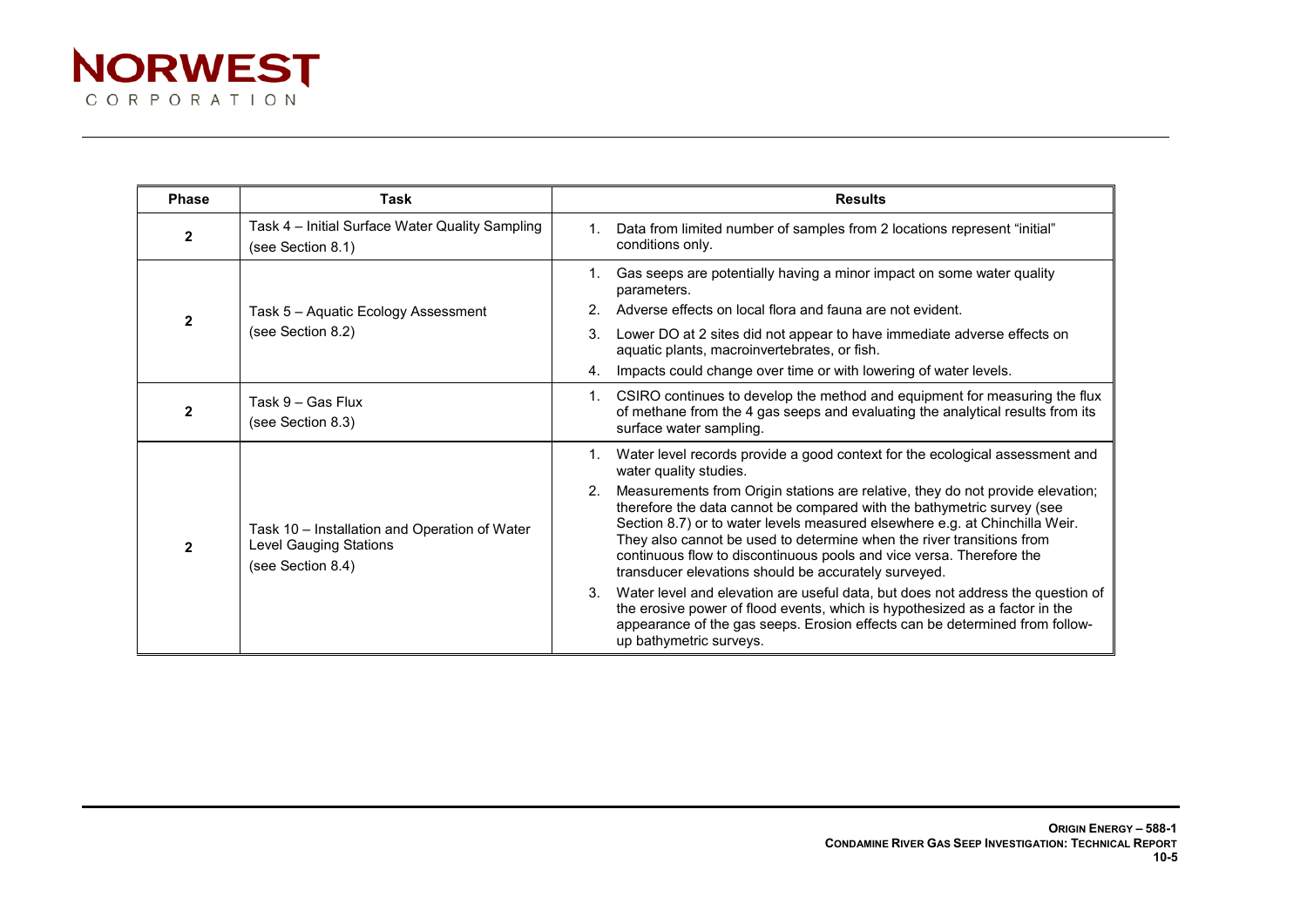

| <b>Phase</b> | Task                                                                                                |                | <b>Results</b>                                                                                                                                                                                                                                                                                                                                                                                                                                   |  |  |
|--------------|-----------------------------------------------------------------------------------------------------|----------------|--------------------------------------------------------------------------------------------------------------------------------------------------------------------------------------------------------------------------------------------------------------------------------------------------------------------------------------------------------------------------------------------------------------------------------------------------|--|--|
| $\mathbf{2}$ | Task 4 - Initial Surface Water Quality Sampling<br>(see Section 8.1)                                | $1_{-}$        | Data from limited number of samples from 2 locations represent "initial"<br>conditions only.                                                                                                                                                                                                                                                                                                                                                     |  |  |
|              | Task 5 - Aquatic Ecology Assessment<br>(see Section 8.2)                                            |                | Gas seeps are potentially having a minor impact on some water quality<br>parameters.                                                                                                                                                                                                                                                                                                                                                             |  |  |
|              |                                                                                                     |                | Adverse effects on local flora and fauna are not evident.                                                                                                                                                                                                                                                                                                                                                                                        |  |  |
|              |                                                                                                     | 3.             | Lower DO at 2 sites did not appear to have immediate adverse effects on<br>aquatic plants, macroinvertebrates, or fish.                                                                                                                                                                                                                                                                                                                          |  |  |
|              |                                                                                                     | 4.             | Impacts could change over time or with lowering of water levels.                                                                                                                                                                                                                                                                                                                                                                                 |  |  |
|              | Task 9 - Gas Flux<br>(see Section 8.3)                                                              | $1_{-}$        | CSIRO continues to develop the method and equipment for measuring the flux<br>of methane from the 4 gas seeps and evaluating the analytical results from its<br>surface water sampling.                                                                                                                                                                                                                                                          |  |  |
|              | Task 10 - Installation and Operation of Water<br><b>Level Gauging Stations</b><br>(see Section 8.4) | $1_{-}$        | Water level records provide a good context for the ecological assessment and<br>water quality studies.                                                                                                                                                                                                                                                                                                                                           |  |  |
|              |                                                                                                     | 2 <sub>1</sub> | Measurements from Origin stations are relative, they do not provide elevation;<br>therefore the data cannot be compared with the bathymetric survey (see<br>Section 8.7) or to water levels measured elsewhere e.g. at Chinchilla Weir.<br>They also cannot be used to determine when the river transitions from<br>continuous flow to discontinuous pools and vice versa. Therefore the<br>transducer elevations should be accurately surveyed. |  |  |
|              |                                                                                                     | 3 <sub>1</sub> | Water level and elevation are useful data, but does not address the question of<br>the erosive power of flood events, which is hypothesized as a factor in the<br>appearance of the gas seeps. Erosion effects can be determined from follow-<br>up bathymetric surveys.                                                                                                                                                                         |  |  |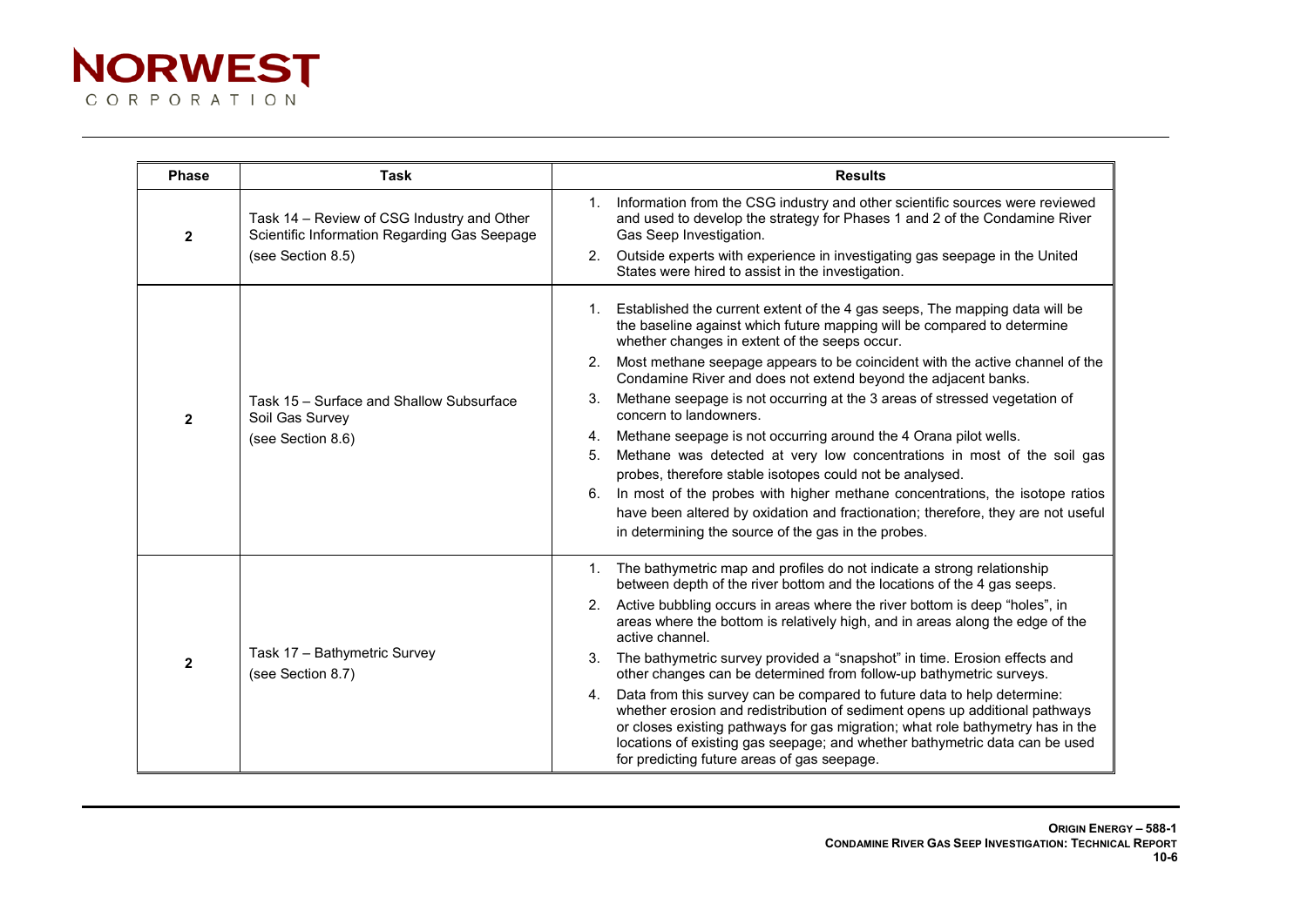

| <b>Phase</b>   | <b>Task</b>                                                                                                     | <b>Results</b>                                                                                                                                                                                                                                                                                                                                                               |  |
|----------------|-----------------------------------------------------------------------------------------------------------------|------------------------------------------------------------------------------------------------------------------------------------------------------------------------------------------------------------------------------------------------------------------------------------------------------------------------------------------------------------------------------|--|
| $\mathbf{2}$   | Task 14 - Review of CSG Industry and Other<br>Scientific Information Regarding Gas Seepage<br>(see Section 8.5) | Information from the CSG industry and other scientific sources were reviewed<br>1.<br>and used to develop the strategy for Phases 1 and 2 of the Condamine River<br>Gas Seep Investigation.                                                                                                                                                                                  |  |
|                |                                                                                                                 | Outside experts with experience in investigating gas seepage in the United<br>2.<br>States were hired to assist in the investigation.                                                                                                                                                                                                                                        |  |
| $\overline{2}$ | Task 15 - Surface and Shallow Subsurface<br>Soil Gas Survey<br>(see Section 8.6)                                | Established the current extent of the 4 gas seeps, The mapping data will be<br>1.<br>the baseline against which future mapping will be compared to determine<br>whether changes in extent of the seeps occur.                                                                                                                                                                |  |
|                |                                                                                                                 | Most methane seepage appears to be coincident with the active channel of the<br>2.<br>Condamine River and does not extend beyond the adjacent banks.                                                                                                                                                                                                                         |  |
|                |                                                                                                                 | Methane seepage is not occurring at the 3 areas of stressed vegetation of<br>3.<br>concern to landowners.                                                                                                                                                                                                                                                                    |  |
|                |                                                                                                                 | Methane seepage is not occurring around the 4 Orana pilot wells.<br>4.                                                                                                                                                                                                                                                                                                       |  |
|                |                                                                                                                 | Methane was detected at very low concentrations in most of the soil gas<br>5.<br>probes, therefore stable isotopes could not be analysed.                                                                                                                                                                                                                                    |  |
|                |                                                                                                                 | In most of the probes with higher methane concentrations, the isotope ratios<br>6.                                                                                                                                                                                                                                                                                           |  |
|                |                                                                                                                 | have been altered by oxidation and fractionation; therefore, they are not useful                                                                                                                                                                                                                                                                                             |  |
|                |                                                                                                                 | in determining the source of the gas in the probes.                                                                                                                                                                                                                                                                                                                          |  |
| $\mathbf{2}$   | Task 17 - Bathymetric Survey<br>(see Section 8.7)                                                               | The bathymetric map and profiles do not indicate a strong relationship<br>1.<br>between depth of the river bottom and the locations of the 4 gas seeps.                                                                                                                                                                                                                      |  |
|                |                                                                                                                 | Active bubbling occurs in areas where the river bottom is deep "holes", in<br>2.<br>areas where the bottom is relatively high, and in areas along the edge of the<br>active channel.                                                                                                                                                                                         |  |
|                |                                                                                                                 | The bathymetric survey provided a "snapshot" in time. Erosion effects and<br>3.<br>other changes can be determined from follow-up bathymetric surveys.                                                                                                                                                                                                                       |  |
|                |                                                                                                                 | Data from this survey can be compared to future data to help determine:<br>4.<br>whether erosion and redistribution of sediment opens up additional pathways<br>or closes existing pathways for gas migration; what role bathymetry has in the<br>locations of existing gas seepage; and whether bathymetric data can be used<br>for predicting future areas of gas seepage. |  |